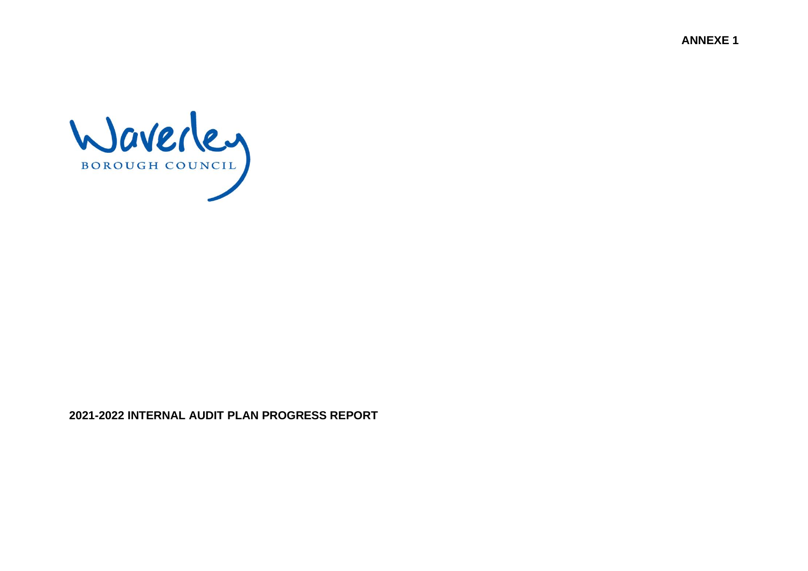**ANNEXE 1**



**2021-2022 INTERNAL AUDIT PLAN PROGRESS REPORT**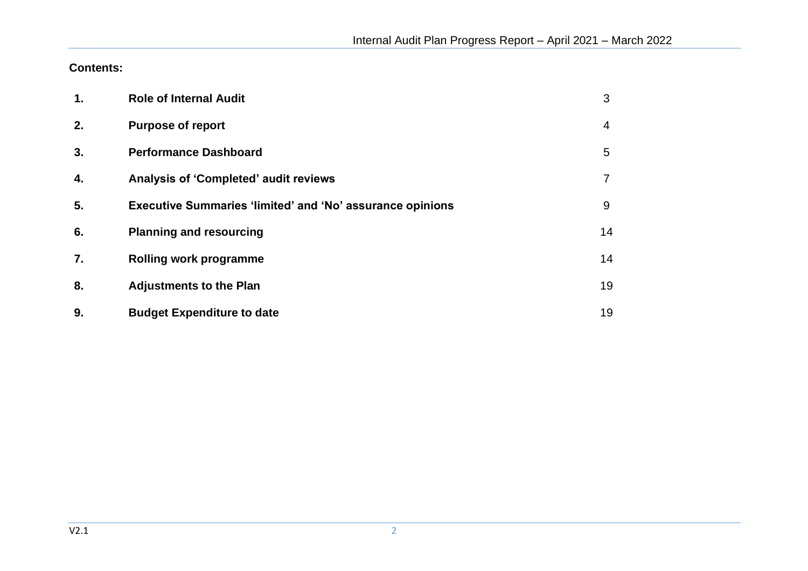**Contents:**

| 1. | <b>Role of Internal Audit</b>                                    | 3  |
|----|------------------------------------------------------------------|----|
| 2. | <b>Purpose of report</b>                                         | 4  |
| 3. | <b>Performance Dashboard</b>                                     | 5  |
| 4. | <b>Analysis of 'Completed' audit reviews</b>                     |    |
| 5. | <b>Executive Summaries 'limited' and 'No' assurance opinions</b> | 9  |
| 6. | <b>Planning and resourcing</b>                                   | 14 |
| 7. | <b>Rolling work programme</b>                                    | 14 |
| 8. | <b>Adjustments to the Plan</b>                                   | 19 |
| 9. | <b>Budget Expenditure to date</b>                                | 19 |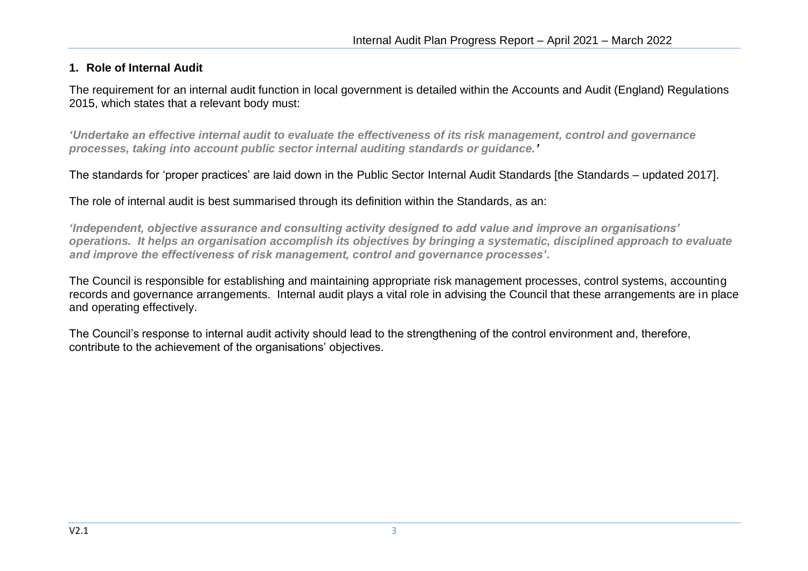## **1. Role of Internal Audit**

The requirement for an internal audit function in local government is detailed within the Accounts and Audit (England) Regulations 2015, which states that a relevant body must:

*'Undertake an effective internal audit to evaluate the effectiveness of its risk management, control and governance processes, taking into account public sector internal auditing standards or guidance.'* 

The standards for 'proper practices' are laid down in the Public Sector Internal Audit Standards [the Standards – updated 2017].

The role of internal audit is best summarised through its definition within the Standards, as an:

*'Independent, objective assurance and consulting activity designed to add value and improve an organisations' operations. It helps an organisation accomplish its objectives by bringing a systematic, disciplined approach to evaluate and improve the effectiveness of risk management, control and governance processes'***.** 

The Council is responsible for establishing and maintaining appropriate risk management processes, control systems, accounting records and governance arrangements. Internal audit plays a vital role in advising the Council that these arrangements are in place and operating effectively.

The Council's response to internal audit activity should lead to the strengthening of the control environment and, therefore, contribute to the achievement of the organisations' objectives.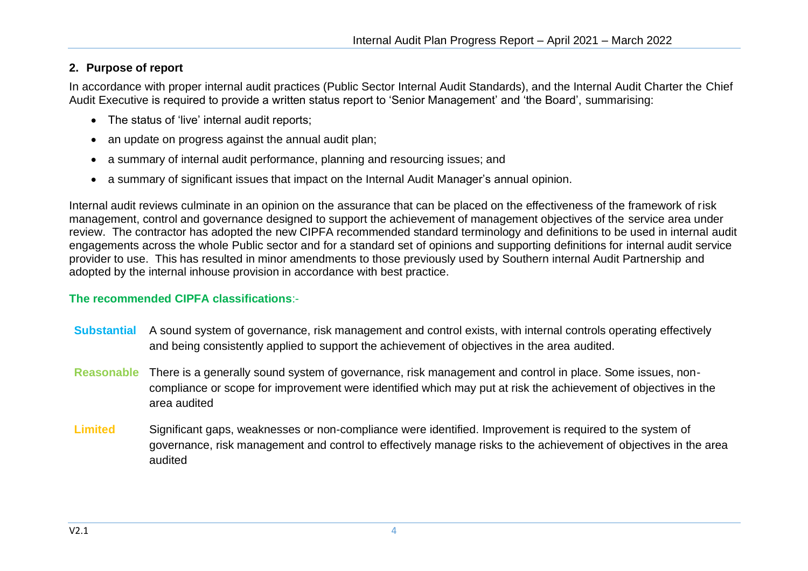# **2. Purpose of report**

In accordance with proper internal audit practices (Public Sector Internal Audit Standards), and the Internal Audit Charter the Chief Audit Executive is required to provide a written status report to 'Senior Management' and 'the Board', summarising:

- The status of 'live' internal audit reports;
- an update on progress against the annual audit plan;
- a summary of internal audit performance, planning and resourcing issues; and
- a summary of significant issues that impact on the Internal Audit Manager's annual opinion.

Internal audit reviews culminate in an opinion on the assurance that can be placed on the effectiveness of the framework of risk management, control and governance designed to support the achievement of management objectives of the service area under review. The contractor has adopted the new CIPFA recommended standard terminology and definitions to be used in internal audit engagements across the whole Public sector and for a standard set of opinions and supporting definitions for internal audit service provider to use. This has resulted in minor amendments to those previously used by Southern internal Audit Partnership and adopted by the internal inhouse provision in accordance with best practice.

### **The recommended CIPFA classifications**:-

- **Substantial** A sound system of governance, risk management and control exists, with internal controls operating effectively and being consistently applied to support the achievement of objectives in the area audited.
- **Reasonable** There is a generally sound system of governance, risk management and control in place. Some issues, noncompliance or scope for improvement were identified which may put at risk the achievement of objectives in the area audited
- **Limited** Significant gaps, weaknesses or non-compliance were identified. Improvement is required to the system of governance, risk management and control to effectively manage risks to the achievement of objectives in the area audited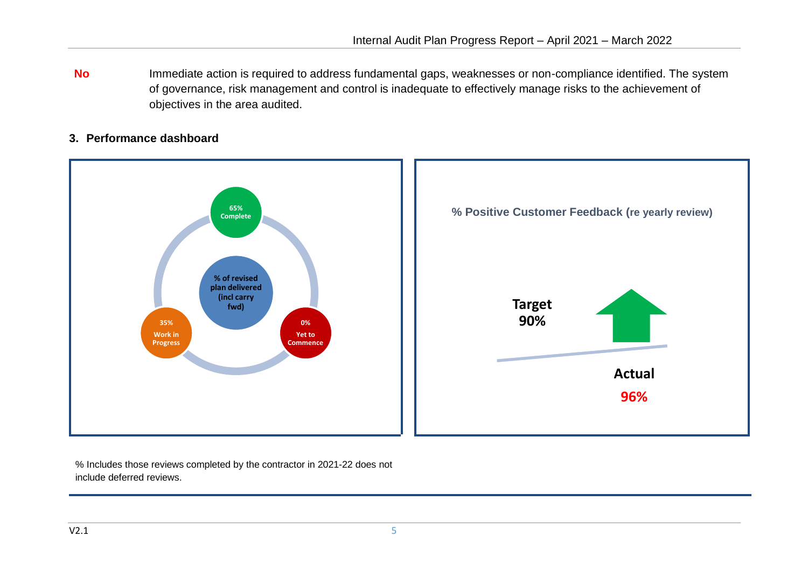**No** Immediate action is required to address fundamental gaps, weaknesses or non-compliance identified. The system of governance, risk management and control is inadequate to effectively manage risks to the achievement of objectives in the area audited.

## **3. Performance dashboard**



% Includes those reviews completed by the contractor in 2021-22 does not include deferred reviews.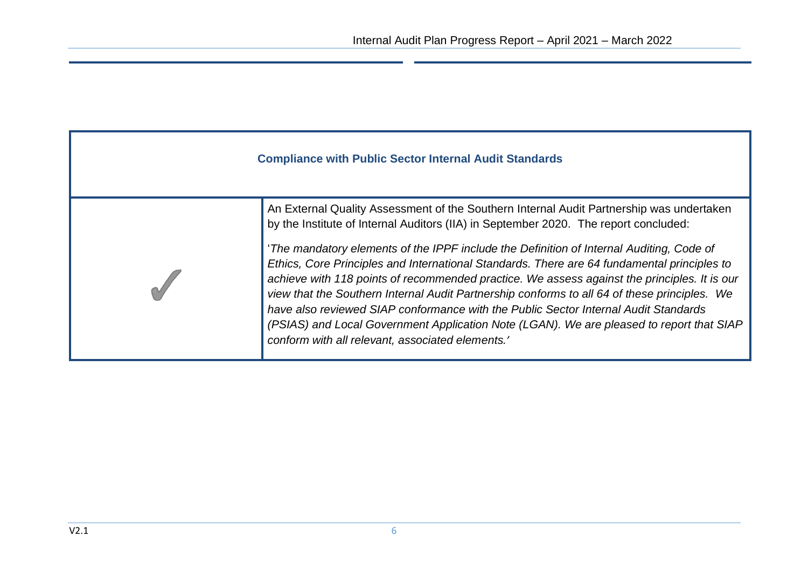| <b>Compliance with Public Sector Internal Audit Standards</b> |                                                                                                                                                                                                                                                                                                                                                                                                                                                                                                                                                                                                                                                                                                                                                                                                                       |  |  |  |  |  |  |  |
|---------------------------------------------------------------|-----------------------------------------------------------------------------------------------------------------------------------------------------------------------------------------------------------------------------------------------------------------------------------------------------------------------------------------------------------------------------------------------------------------------------------------------------------------------------------------------------------------------------------------------------------------------------------------------------------------------------------------------------------------------------------------------------------------------------------------------------------------------------------------------------------------------|--|--|--|--|--|--|--|
|                                                               | An External Quality Assessment of the Southern Internal Audit Partnership was undertaken<br>by the Institute of Internal Auditors (IIA) in September 2020. The report concluded:<br>'The mandatory elements of the IPPF include the Definition of Internal Auditing, Code of<br>Ethics, Core Principles and International Standards. There are 64 fundamental principles to<br>achieve with 118 points of recommended practice. We assess against the principles. It is our<br>view that the Southern Internal Audit Partnership conforms to all 64 of these principles.<br>We<br>have also reviewed SIAP conformance with the Public Sector Internal Audit Standards<br>(PSIAS) and Local Government Application Note (LGAN). We are pleased to report that SIAP<br>conform with all relevant, associated elements.' |  |  |  |  |  |  |  |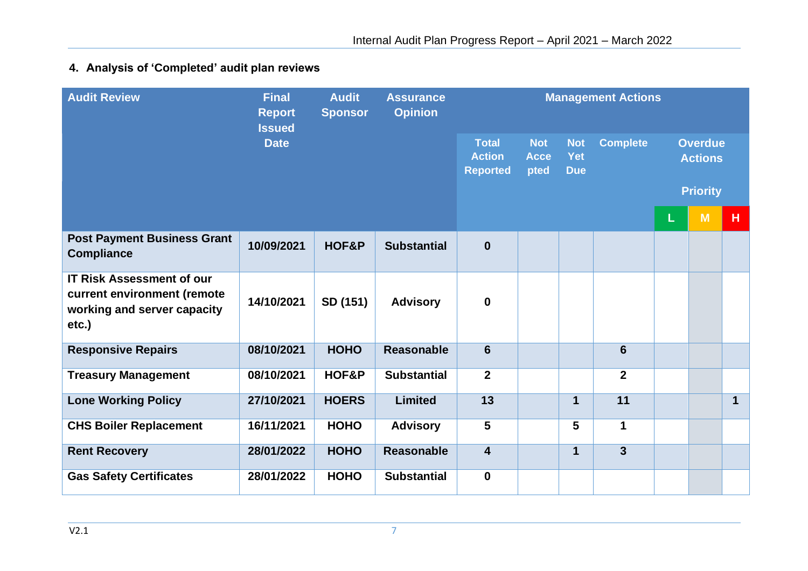# **4. Analysis of 'Completed' audit plan reviews**

| <b>Audit Review</b>                                                                                     | <b>Final</b><br><b>Report</b><br><b>Issued</b> | <b>Audit</b><br><b>Sponsor</b> | <b>Assurance</b><br><b>Opinion</b> |                                                  | <b>Management Actions</b>         |                                 |                 |                 |                                  |             |  |  |  |
|---------------------------------------------------------------------------------------------------------|------------------------------------------------|--------------------------------|------------------------------------|--------------------------------------------------|-----------------------------------|---------------------------------|-----------------|-----------------|----------------------------------|-------------|--|--|--|
|                                                                                                         | <b>Date</b>                                    |                                |                                    | <b>Total</b><br><b>Action</b><br><b>Reported</b> | <b>Not</b><br><b>Acce</b><br>pted | <b>Not</b><br>Yet<br><b>Due</b> | <b>Complete</b> |                 | <b>Overdue</b><br><b>Actions</b> |             |  |  |  |
|                                                                                                         |                                                |                                |                                    |                                                  |                                   |                                 |                 | <b>Priority</b> |                                  |             |  |  |  |
|                                                                                                         |                                                |                                |                                    |                                                  |                                   |                                 |                 | L               | M                                | н.          |  |  |  |
| <b>Post Payment Business Grant</b><br><b>Compliance</b>                                                 | 10/09/2021                                     | HOF&P                          | <b>Substantial</b>                 | $\mathbf 0$                                      |                                   |                                 |                 |                 |                                  |             |  |  |  |
| <b>IT Risk Assessment of our</b><br>current environment (remote<br>working and server capacity<br>etc.) | 14/10/2021                                     | SD (151)                       | <b>Advisory</b>                    | $\boldsymbol{0}$                                 |                                   |                                 |                 |                 |                                  |             |  |  |  |
| <b>Responsive Repairs</b>                                                                               | 08/10/2021                                     | <b>HOHO</b>                    | <b>Reasonable</b>                  | $6\phantom{1}$                                   |                                   |                                 | $6\phantom{1}$  |                 |                                  |             |  |  |  |
| <b>Treasury Management</b>                                                                              | 08/10/2021                                     | HOF&P                          | <b>Substantial</b>                 | $\overline{2}$                                   |                                   |                                 | $\overline{2}$  |                 |                                  |             |  |  |  |
| <b>Lone Working Policy</b>                                                                              | 27/10/2021                                     | <b>HOERS</b>                   | <b>Limited</b>                     | 13                                               |                                   | 1                               | 11              |                 |                                  | $\mathbf 1$ |  |  |  |
| <b>CHS Boiler Replacement</b>                                                                           | 16/11/2021                                     | <b>HOHO</b>                    | <b>Advisory</b>                    | $5\phantom{.0}$                                  |                                   | 5                               | $\mathbf{1}$    |                 |                                  |             |  |  |  |
| <b>Rent Recovery</b>                                                                                    | 28/01/2022                                     | <b>HOHO</b>                    | <b>Reasonable</b>                  | $\overline{\mathbf{4}}$                          |                                   | $\mathbf 1$                     | $\overline{3}$  |                 |                                  |             |  |  |  |
| <b>Gas Safety Certificates</b>                                                                          | 28/01/2022                                     | <b>HOHO</b>                    | <b>Substantial</b>                 | $\mathbf 0$                                      |                                   |                                 |                 |                 |                                  |             |  |  |  |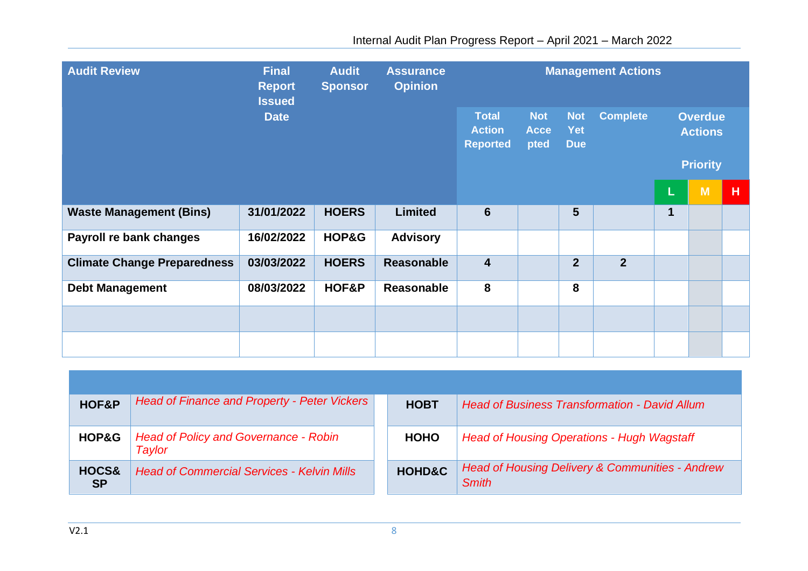| <b>Audit Review</b>                | <b>Final</b><br><b>Report</b><br><b>Issued</b> |              | <b>Audit</b><br><b>Assurance</b><br><b>Opinion</b><br><b>Sponsor</b> |                                                  | <b>Management Actions</b>         |                                 |                 |             |                                  |   |  |  |  |
|------------------------------------|------------------------------------------------|--------------|----------------------------------------------------------------------|--------------------------------------------------|-----------------------------------|---------------------------------|-----------------|-------------|----------------------------------|---|--|--|--|
|                                    | <b>Date</b>                                    |              |                                                                      | <b>Total</b><br><b>Action</b><br><b>Reported</b> | <b>Not</b><br><b>Acce</b><br>pted | <b>Not</b><br>Yet<br><b>Due</b> | <b>Complete</b> |             | <b>Overdue</b><br><b>Actions</b> |   |  |  |  |
|                                    |                                                |              |                                                                      |                                                  |                                   |                                 |                 |             | <b>Priority</b>                  |   |  |  |  |
|                                    |                                                |              |                                                                      |                                                  |                                   |                                 |                 | L           | M                                | H |  |  |  |
| <b>Waste Management (Bins)</b>     | 31/01/2022                                     | <b>HOERS</b> | <b>Limited</b>                                                       | $6\phantom{1}6$                                  |                                   | 5                               |                 | $\mathbf 1$ |                                  |   |  |  |  |
| Payroll re bank changes            | 16/02/2022                                     | HOP&G        | <b>Advisory</b>                                                      |                                                  |                                   |                                 |                 |             |                                  |   |  |  |  |
| <b>Climate Change Preparedness</b> | 03/03/2022                                     | <b>HOERS</b> | <b>Reasonable</b>                                                    | $\overline{\mathbf{4}}$                          |                                   | $\overline{2}$                  | $\overline{2}$  |             |                                  |   |  |  |  |
| <b>Debt Management</b>             | 08/03/2022                                     | HOF&P        | Reasonable                                                           | 8                                                |                                   | 8                               |                 |             |                                  |   |  |  |  |
|                                    |                                                |              |                                                                      |                                                  |                                   |                                 |                 |             |                                  |   |  |  |  |
|                                    |                                                |              |                                                                      |                                                  |                                   |                                 |                 |             |                                  |   |  |  |  |

| HOF&P              | <b>Head of Finance and Property - Peter Vickers</b>    | <b>HOBT</b>       | <b>Head of Business Transformation - David Allum</b>                       |
|--------------------|--------------------------------------------------------|-------------------|----------------------------------------------------------------------------|
| HOP&G              | <b>Head of Policy and Governance - Robin</b><br>Taylor | <b>HOHO</b>       | <b>Head of Housing Operations - Hugh Wagstaff</b>                          |
| HOCS&<br><b>SP</b> | <b>Head of Commercial Services - Kelvin Mills</b>      | <b>HOHD&amp;C</b> | <b>Head of Housing Delivery &amp; Communities - Andrew</b><br><b>Smith</b> |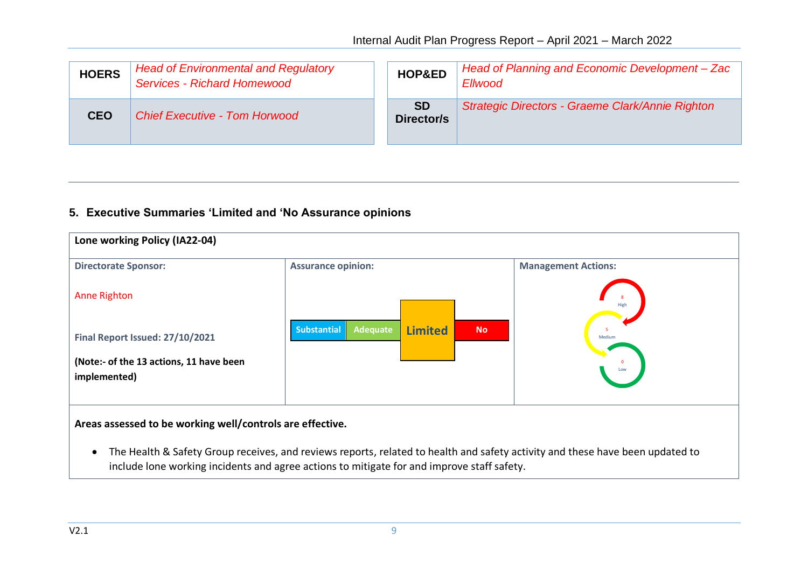| <b>HOERS</b> | <b>Head of Environmental and Regulatory</b><br><b>Services - Richard Homewood</b> | HOP&ED                  | Head of Planning and Economic Development - Zac<br>Ellwood |
|--------------|-----------------------------------------------------------------------------------|-------------------------|------------------------------------------------------------|
| <b>CEO</b>   | <b>Chief Executive - Tom Horwood</b>                                              | <b>SD</b><br>Director/s | Strategic Directors - Graeme Clark/Annie Righton           |

## **5. Executive Summaries 'Limited and 'No Assurance opinions**



include lone working incidents and agree actions to mitigate for and improve staff safety.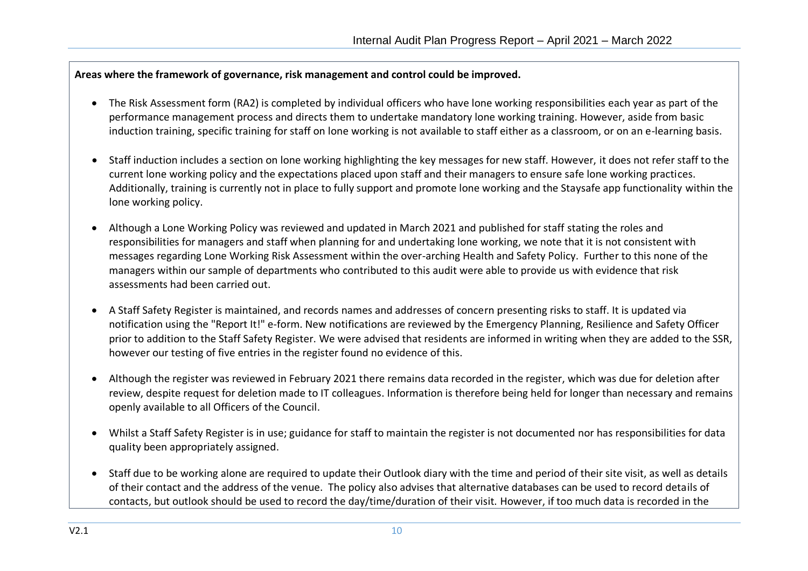### **Areas where the framework of governance, risk management and control could be improved.**

- The Risk Assessment form (RA2) is completed by individual officers who have lone working responsibilities each year as part of the performance management process and directs them to undertake mandatory lone working training. However, aside from basic induction training, specific training for staff on lone working is not available to staff either as a classroom, or on an e-learning basis.
- Staff induction includes a section on lone working highlighting the key messages for new staff. However, it does not refer staff to the current lone working policy and the expectations placed upon staff and their managers to ensure safe lone working practices. Additionally, training is currently not in place to fully support and promote lone working and the Staysafe app functionality within the lone working policy.
- Although a Lone Working Policy was reviewed and updated in March 2021 and published for staff stating the roles and responsibilities for managers and staff when planning for and undertaking lone working, we note that it is not consistent with messages regarding Lone Working Risk Assessment within the over-arching Health and Safety Policy. Further to this none of the managers within our sample of departments who contributed to this audit were able to provide us with evidence that risk assessments had been carried out.
- A Staff Safety Register is maintained, and records names and addresses of concern presenting risks to staff. It is updated via notification using the "Report It!" e-form. New notifications are reviewed by the Emergency Planning, Resilience and Safety Officer prior to addition to the Staff Safety Register. We were advised that residents are informed in writing when they are added to the SSR, however our testing of five entries in the register found no evidence of this.
- Although the register was reviewed in February 2021 there remains data recorded in the register, which was due for deletion after review, despite request for deletion made to IT colleagues. Information is therefore being held for longer than necessary and remains openly available to all Officers of the Council.
- Whilst a Staff Safety Register is in use; guidance for staff to maintain the register is not documented nor has responsibilities for data quality been appropriately assigned.
- Staff due to be working alone are required to update their Outlook diary with the time and period of their site visit, as well as details of their contact and the address of the venue. The policy also advises that alternative databases can be used to record details of contacts, but outlook should be used to record the day/time/duration of their visit. However, if too much data is recorded in the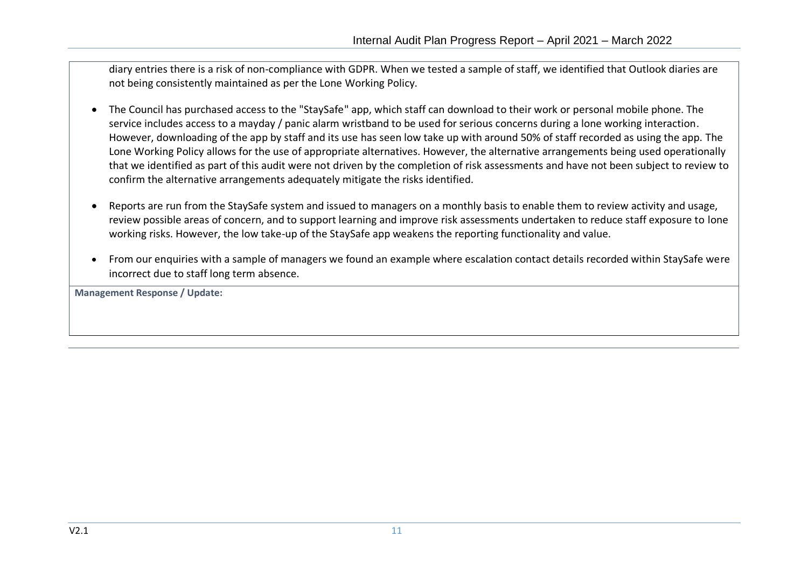diary entries there is a risk of non-compliance with GDPR. When we tested a sample of staff, we identified that Outlook diaries are not being consistently maintained as per the Lone Working Policy.

- The Council has purchased access to the "StaySafe" app, which staff can download to their work or personal mobile phone. The service includes access to a mayday / panic alarm wristband to be used for serious concerns during a lone working interaction. However, downloading of the app by staff and its use has seen low take up with around 50% of staff recorded as using the app. The Lone Working Policy allows for the use of appropriate alternatives. However, the alternative arrangements being used operationally that we identified as part of this audit were not driven by the completion of risk assessments and have not been subject to review to confirm the alternative arrangements adequately mitigate the risks identified.
- Reports are run from the StaySafe system and issued to managers on a monthly basis to enable them to review activity and usage, review possible areas of concern, and to support learning and improve risk assessments undertaken to reduce staff exposure to lone working risks. However, the low take-up of the StaySafe app weakens the reporting functionality and value.
- From our enquiries with a sample of managers we found an example where escalation contact details recorded within StaySafe were incorrect due to staff long term absence.

**Management Response / Update:**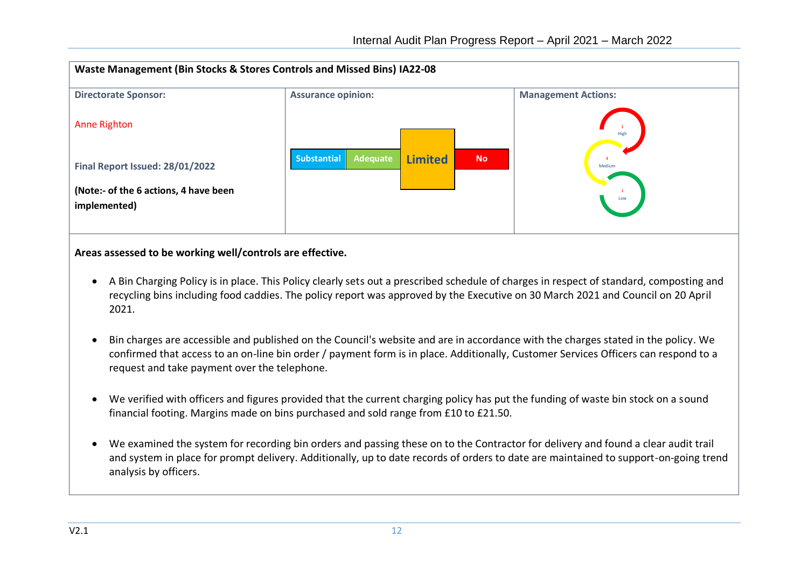

**Areas assessed to be working well/controls are effective.**

- A Bin Charging Policy is in place. This Policy clearly sets out a prescribed schedule of charges in respect of standard, composting and recycling bins including food caddies. The policy report was approved by the Executive on 30 March 2021 and Council on 20 April 2021.
- Bin charges are accessible and published on the Council's website and are in accordance with the charges stated in the policy. We confirmed that access to an on-line bin order / payment form is in place. Additionally, Customer Services Officers can respond to a request and take payment over the telephone.
- We verified with officers and figures provided that the current charging policy has put the funding of waste bin stock on a sound financial footing. Margins made on bins purchased and sold range from £10 to £21.50.
- We examined the system for recording bin orders and passing these on to the Contractor for delivery and found a clear audit trail and system in place for prompt delivery. Additionally, up to date records of orders to date are maintained to support-on-going trend analysis by officers.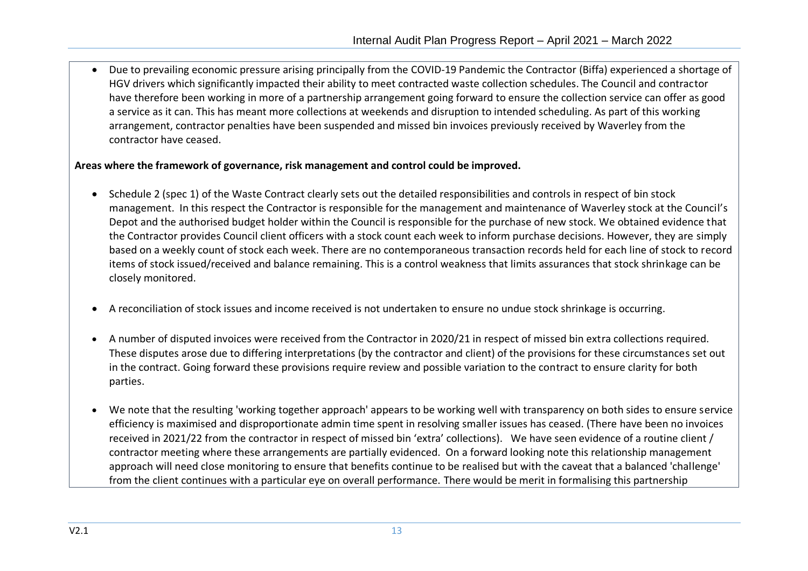• Due to prevailing economic pressure arising principally from the COVID-19 Pandemic the Contractor (Biffa) experienced a shortage of HGV drivers which significantly impacted their ability to meet contracted waste collection schedules. The Council and contractor have therefore been working in more of a partnership arrangement going forward to ensure the collection service can offer as good a service as it can. This has meant more collections at weekends and disruption to intended scheduling. As part of this working arrangement, contractor penalties have been suspended and missed bin invoices previously received by Waverley from the contractor have ceased.

#### **Areas where the framework of governance, risk management and control could be improved.**

- Schedule 2 (spec 1) of the Waste Contract clearly sets out the detailed responsibilities and controls in respect of bin stock management. In this respect the Contractor is responsible for the management and maintenance of Waverley stock at the Council's Depot and the authorised budget holder within the Council is responsible for the purchase of new stock. We obtained evidence that the Contractor provides Council client officers with a stock count each week to inform purchase decisions. However, they are simply based on a weekly count of stock each week. There are no contemporaneous transaction records held for each line of stock to record items of stock issued/received and balance remaining. This is a control weakness that limits assurances that stock shrinkage can be closely monitored.
- A reconciliation of stock issues and income received is not undertaken to ensure no undue stock shrinkage is occurring.
- A number of disputed invoices were received from the Contractor in 2020/21 in respect of missed bin extra collections required. These disputes arose due to differing interpretations (by the contractor and client) of the provisions for these circumstances set out in the contract. Going forward these provisions require review and possible variation to the contract to ensure clarity for both parties.
- We note that the resulting 'working together approach' appears to be working well with transparency on both sides to ensure service efficiency is maximised and disproportionate admin time spent in resolving smaller issues has ceased. (There have been no invoices received in 2021/22 from the contractor in respect of missed bin 'extra' collections). We have seen evidence of a routine client / contractor meeting where these arrangements are partially evidenced. On a forward looking note this relationship management approach will need close monitoring to ensure that benefits continue to be realised but with the caveat that a balanced 'challenge' from the client continues with a particular eye on overall performance. There would be merit in formalising this partnership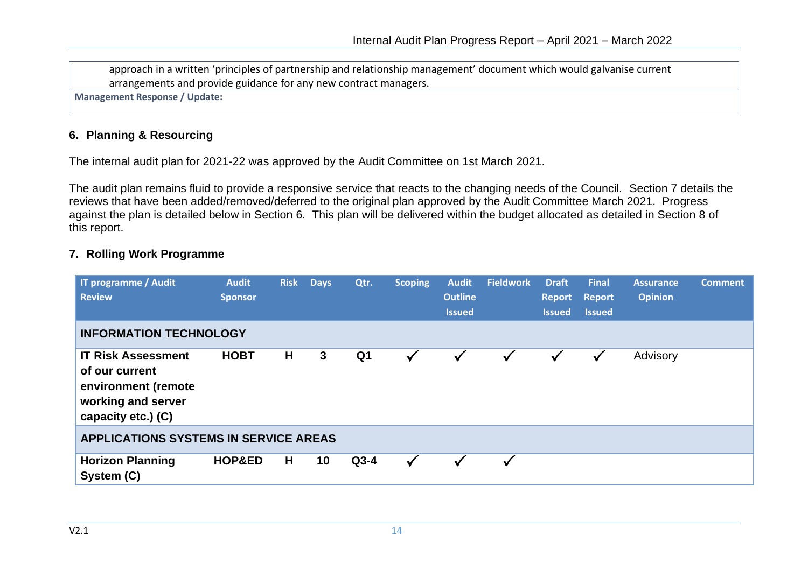approach in a written 'principles of partnership and relationship management' document which would galvanise current arrangements and provide guidance for any new contract managers.

**Management Response / Update:**

### **6. Planning & Resourcing**

The internal audit plan for 2021-22 was approved by the Audit Committee on 1st March 2021.

The audit plan remains fluid to provide a responsive service that reacts to the changing needs of the Council. Section 7 details the reviews that have been added/removed/deferred to the original plan approved by the Audit Committee March 2021. Progress against the plan is detailed below in Section 6. This plan will be delivered within the budget allocated as detailed in Section 8 of this report.

#### **7. Rolling Work Programme**

| <b>IT programme / Audit</b><br><b>Review</b>                                                                   | <b>Audit</b><br><b>Sponsor</b> | <b>Risk</b> | <b>Days</b> | Qtr.           | <b>Scoping</b> | <b>Audit</b><br><b>Outline</b><br><b>Issued</b> | <b>Fieldwork</b> | <b>Draft</b><br>$\sqrt{2}$ Report<br><b>Issued</b> | <b>Final</b><br><b>Report</b><br><b>Issued</b> | <b>Assurance</b><br><b>Opinion</b> | <b>Comment</b> |
|----------------------------------------------------------------------------------------------------------------|--------------------------------|-------------|-------------|----------------|----------------|-------------------------------------------------|------------------|----------------------------------------------------|------------------------------------------------|------------------------------------|----------------|
| <b>INFORMATION TECHNOLOGY</b>                                                                                  |                                |             |             |                |                |                                                 |                  |                                                    |                                                |                                    |                |
| <b>IT Risk Assessment</b><br>of our current<br>environment (remote<br>working and server<br>capacity etc.) (C) | <b>HOBT</b>                    | H           | 3           | Q <sub>1</sub> | $\checkmark$   | $\checkmark$                                    |                  |                                                    | $\checkmark$                                   | Advisory                           |                |
| <b>APPLICATIONS SYSTEMS IN SERVICE AREAS</b>                                                                   |                                |             |             |                |                |                                                 |                  |                                                    |                                                |                                    |                |
| <b>Horizon Planning</b><br>System (C)                                                                          | <b>HOP&amp;ED</b>              | H           | 10          | $Q3-4$         | ✓              | $\checkmark$                                    |                  |                                                    |                                                |                                    |                |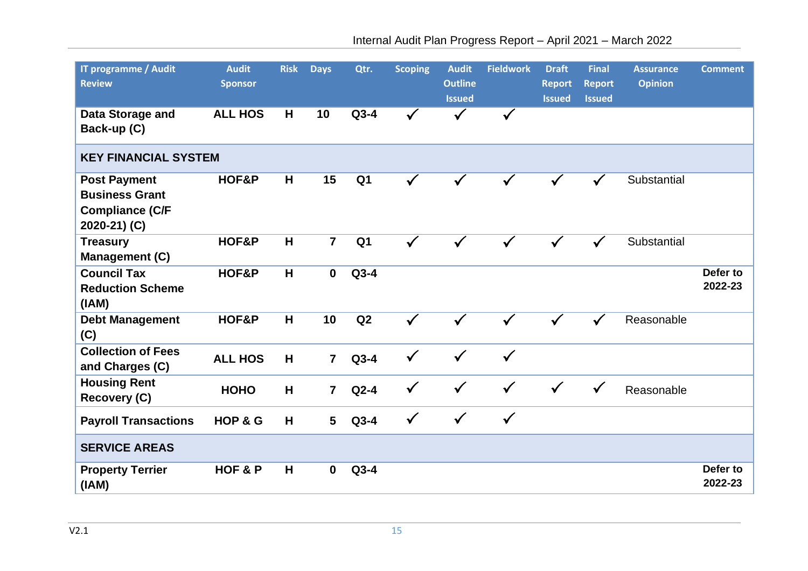| <b>IT programme / Audit</b><br><b>Review</b>                                           | <b>Audit</b><br><b>Sponsor</b> | <b>Risk</b> | <b>Days</b>             | Qtr.           | <b>Scoping</b> | <b>Audit</b><br><b>Outline</b><br><b>Issued</b> | <b>Fieldwork</b> | <b>Draft</b><br><b>Report</b><br><b>Issued</b> | <b>Final</b><br><b>Report</b><br><b>Issued</b> | <b>Assurance</b><br><b>Opinion</b> | <b>Comment</b>      |
|----------------------------------------------------------------------------------------|--------------------------------|-------------|-------------------------|----------------|----------------|-------------------------------------------------|------------------|------------------------------------------------|------------------------------------------------|------------------------------------|---------------------|
| Data Storage and<br>Back-up (C)                                                        | <b>ALL HOS</b>                 | H           | 10                      | $Q3-4$         | $\checkmark$   | $\checkmark$                                    | $\checkmark$     |                                                |                                                |                                    |                     |
| <b>KEY FINANCIAL SYSTEM</b>                                                            |                                |             |                         |                |                |                                                 |                  |                                                |                                                |                                    |                     |
| <b>Post Payment</b><br><b>Business Grant</b><br><b>Compliance (C/F</b><br>2020-21) (C) | HOF&P                          | H           | 15                      | Q <sub>1</sub> | $\checkmark$   | $\checkmark$                                    | $\checkmark$     |                                                | $\checkmark$                                   | Substantial                        |                     |
| <b>Treasury</b><br><b>Management (C)</b>                                               | HOF&P                          | H           | $\overline{\mathbf{7}}$ | Q <sub>1</sub> | $\checkmark$   |                                                 |                  |                                                | $\checkmark$                                   | Substantial                        |                     |
| <b>Council Tax</b><br><b>Reduction Scheme</b><br>(IAM)                                 | HOF&P                          | H           | $\mathbf{0}$            | $Q3-4$         |                |                                                 |                  |                                                |                                                |                                    | Defer to<br>2022-23 |
| <b>Debt Management</b><br>(C)                                                          | HOF&P                          | H           | 10                      | Q2             | $\checkmark$   |                                                 |                  |                                                |                                                | Reasonable                         |                     |
| <b>Collection of Fees</b><br>and Charges (C)                                           | <b>ALL HOS</b>                 | H           | $\overline{7}$          | $Q3-4$         | $\checkmark$   | $\checkmark$                                    | $\checkmark$     |                                                |                                                |                                    |                     |
| <b>Housing Rent</b><br>Recovery (C)                                                    | <b>HOHO</b>                    | H           | $\overline{7}$          | $Q2-4$         | $\checkmark$   | $\checkmark$                                    | $\checkmark$     | $\checkmark$                                   | $\checkmark$                                   | Reasonable                         |                     |
| <b>Payroll Transactions</b>                                                            | HOP & G                        | H           | 5                       | $Q3-4$         | $\checkmark$   | $\checkmark$                                    | $\checkmark$     |                                                |                                                |                                    |                     |
| <b>SERVICE AREAS</b>                                                                   |                                |             |                         |                |                |                                                 |                  |                                                |                                                |                                    |                     |
| <b>Property Terrier</b><br>(IMA)                                                       | <b>HOF &amp; P</b>             | H           | $\bf{0}$                | $Q3-4$         |                |                                                 |                  |                                                |                                                |                                    | Defer to<br>2022-23 |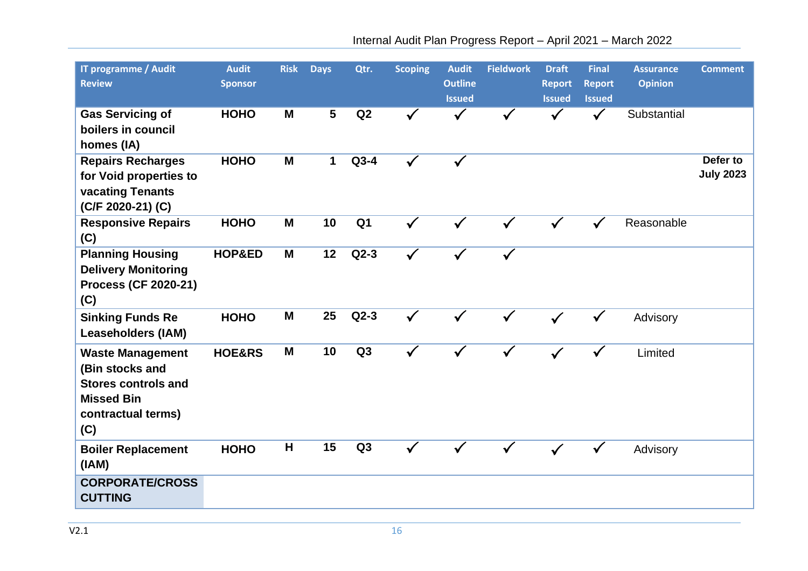| <b>IT programme / Audit</b><br><b>Review</b>                                                                               | <b>Audit</b><br><b>Sponsor</b> | <b>Risk</b> | <b>Days</b>  | Qtr.           | <b>Scoping</b> | <b>Audit</b><br><b>Outline</b><br><b>Issued</b> | <b>Fieldwork</b> | <b>Draft</b><br><b>Report</b><br><b>Issued</b> | <b>Final</b><br><b>Report</b><br><b>Issued</b> | <b>Assurance</b><br><b>Opinion</b> | <b>Comment</b>               |
|----------------------------------------------------------------------------------------------------------------------------|--------------------------------|-------------|--------------|----------------|----------------|-------------------------------------------------|------------------|------------------------------------------------|------------------------------------------------|------------------------------------|------------------------------|
| <b>Gas Servicing of</b><br>boilers in council<br>homes (IA)                                                                | <b>HOHO</b>                    | M           | 5            | Q2             |                |                                                 |                  |                                                | $\checkmark$                                   | Substantial                        |                              |
| <b>Repairs Recharges</b><br>for Void properties to<br>vacating Tenants<br>(C/F 2020-21) (C)                                | <b>HOHO</b>                    | M           | $\mathbf{1}$ | $Q3-4$         | $\checkmark$   | $\checkmark$                                    |                  |                                                |                                                |                                    | Defer to<br><b>July 2023</b> |
| <b>Responsive Repairs</b><br>(C)                                                                                           | <b>HOHO</b>                    | M           | 10           | Q <sub>1</sub> | $\checkmark$   |                                                 |                  |                                                |                                                | Reasonable                         |                              |
| <b>Planning Housing</b><br><b>Delivery Monitoring</b><br><b>Process (CF 2020-21)</b><br>(C)                                | HOP&ED                         | M           | 12           | $Q2-3$         |                | √                                               |                  |                                                |                                                |                                    |                              |
| <b>Sinking Funds Re</b><br><b>Leaseholders (IAM)</b>                                                                       | <b>HOHO</b>                    | M           | 25           | $Q2-3$         | $\checkmark$   |                                                 |                  |                                                |                                                | Advisory                           |                              |
| <b>Waste Management</b><br>(Bin stocks and<br><b>Stores controls and</b><br><b>Missed Bin</b><br>contractual terms)<br>(C) | HOE&RS                         | M           | 10           | Q <sub>3</sub> |                |                                                 |                  |                                                |                                                | Limited                            |                              |
| <b>Boiler Replacement</b><br>(IAM)                                                                                         | <b>HOHO</b>                    | H           | 15           | Q3             |                |                                                 |                  |                                                |                                                | Advisory                           |                              |
| <b>CORPORATE/CROSS</b><br><b>CUTTING</b>                                                                                   |                                |             |              |                |                |                                                 |                  |                                                |                                                |                                    |                              |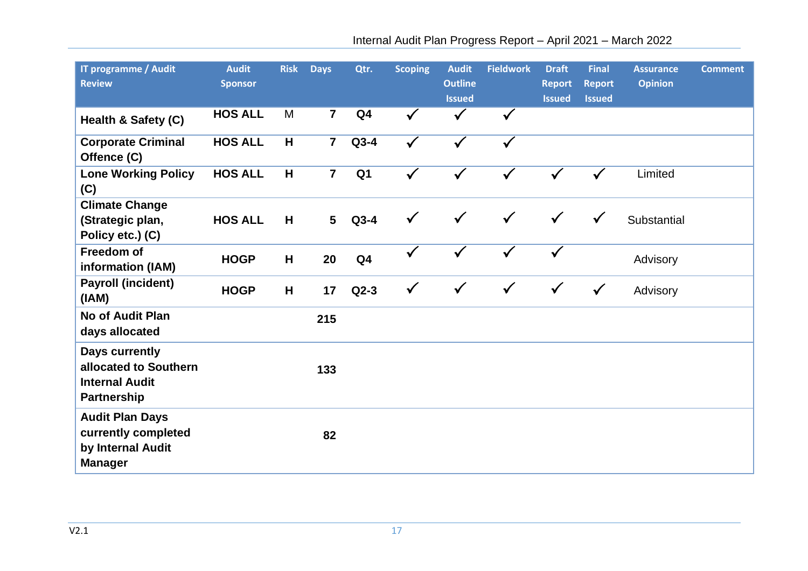| <b>IT programme / Audit</b><br><b>Review</b>                                           | <b>Audit</b><br><b>Sponsor</b> | <b>Risk</b> | <b>Days</b>    | Qtr.           | <b>Scoping</b> | <b>Audit</b><br><b>Outline</b><br><b>Issued</b> | <b>Fieldwork</b> | <b>Draft</b><br><b>Report</b><br><b>Issued</b> | <b>Final</b><br><b>Report</b><br><b>Issued</b> | <b>Assurance</b><br><b>Opinion</b> | <b>Comment</b> |
|----------------------------------------------------------------------------------------|--------------------------------|-------------|----------------|----------------|----------------|-------------------------------------------------|------------------|------------------------------------------------|------------------------------------------------|------------------------------------|----------------|
| Health & Safety (C)                                                                    | <b>HOS ALL</b>                 | M           | $\overline{7}$ | Q <sub>4</sub> | $\checkmark$   | $\checkmark$                                    | $\checkmark$     |                                                |                                                |                                    |                |
| <b>Corporate Criminal</b><br>Offence (C)                                               | <b>HOS ALL</b>                 | H           | $\overline{7}$ | $Q3-4$         | $\checkmark$   | ✓                                               | ✓                |                                                |                                                |                                    |                |
| <b>Lone Working Policy</b><br>(C)                                                      | <b>HOS ALL</b>                 | H           | $\overline{7}$ | Q <sub>1</sub> | $\checkmark$   | $\checkmark$                                    | $\checkmark$     |                                                | $\checkmark$                                   | Limited                            |                |
| <b>Climate Change</b><br>(Strategic plan,<br>Policy etc.) (C)                          | <b>HOS ALL</b>                 | H           | $5\phantom{a}$ | $Q3-4$         | $\checkmark$   | $\checkmark$                                    | $\checkmark$     | $\checkmark$                                   | $\checkmark$                                   | Substantial                        |                |
| <b>Freedom of</b><br>information (IAM)                                                 | <b>HOGP</b>                    | H           | 20             | Q <sub>4</sub> | $\checkmark$   | $\checkmark$                                    | $\checkmark$     |                                                |                                                | Advisory                           |                |
| <b>Payroll (incident)</b><br>(IAM)                                                     | <b>HOGP</b>                    | H           | 17             | $Q2-3$         | $\checkmark$   | $\checkmark$                                    | $\checkmark$     | $\checkmark$                                   | $\checkmark$                                   | Advisory                           |                |
| <b>No of Audit Plan</b><br>days allocated                                              |                                |             | 215            |                |                |                                                 |                  |                                                |                                                |                                    |                |
| Days currently<br>allocated to Southern<br><b>Internal Audit</b><br><b>Partnership</b> |                                |             | 133            |                |                |                                                 |                  |                                                |                                                |                                    |                |
| <b>Audit Plan Days</b><br>currently completed<br>by Internal Audit<br><b>Manager</b>   |                                |             | 82             |                |                |                                                 |                  |                                                |                                                |                                    |                |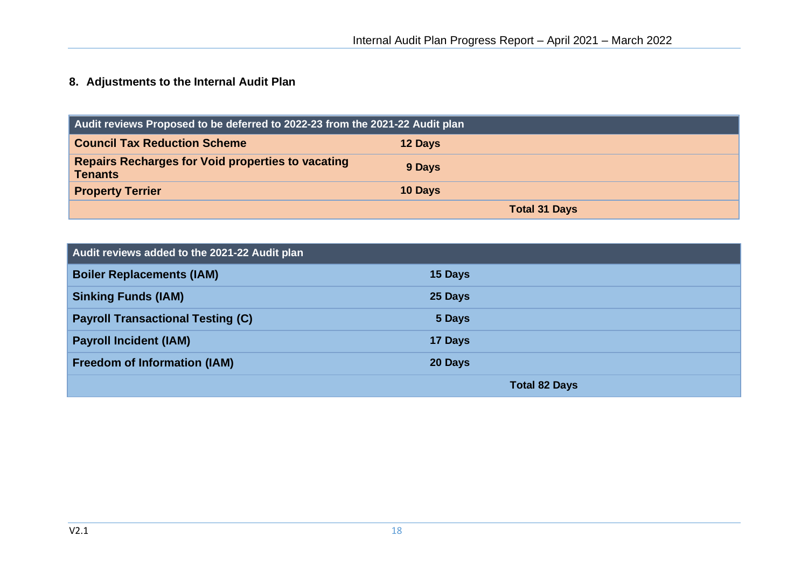# **8. Adjustments to the Internal Audit Plan**

| Audit reviews Proposed to be deferred to 2022-23 from the 2021-22 Audit plan |         |                      |  |  |  |  |  |
|------------------------------------------------------------------------------|---------|----------------------|--|--|--|--|--|
| <b>Council Tax Reduction Scheme</b>                                          | 12 Days |                      |  |  |  |  |  |
| <b>Repairs Recharges for Void properties to vacating</b><br><b>Tenants</b>   | 9 Days  |                      |  |  |  |  |  |
| <b>Property Terrier</b>                                                      | 10 Days |                      |  |  |  |  |  |
|                                                                              |         | <b>Total 31 Days</b> |  |  |  |  |  |

| Audit reviews added to the 2021-22 Audit plan |                      |
|-----------------------------------------------|----------------------|
| <b>Boiler Replacements (IAM)</b>              | 15 Days              |
| <b>Sinking Funds (IAM)</b>                    | 25 Days              |
| <b>Payroll Transactional Testing (C)</b>      | 5 Days               |
| <b>Payroll Incident (IAM)</b>                 | 17 Days              |
| <b>Freedom of Information (IAM)</b>           | 20 Days              |
|                                               | <b>Total 82 Days</b> |